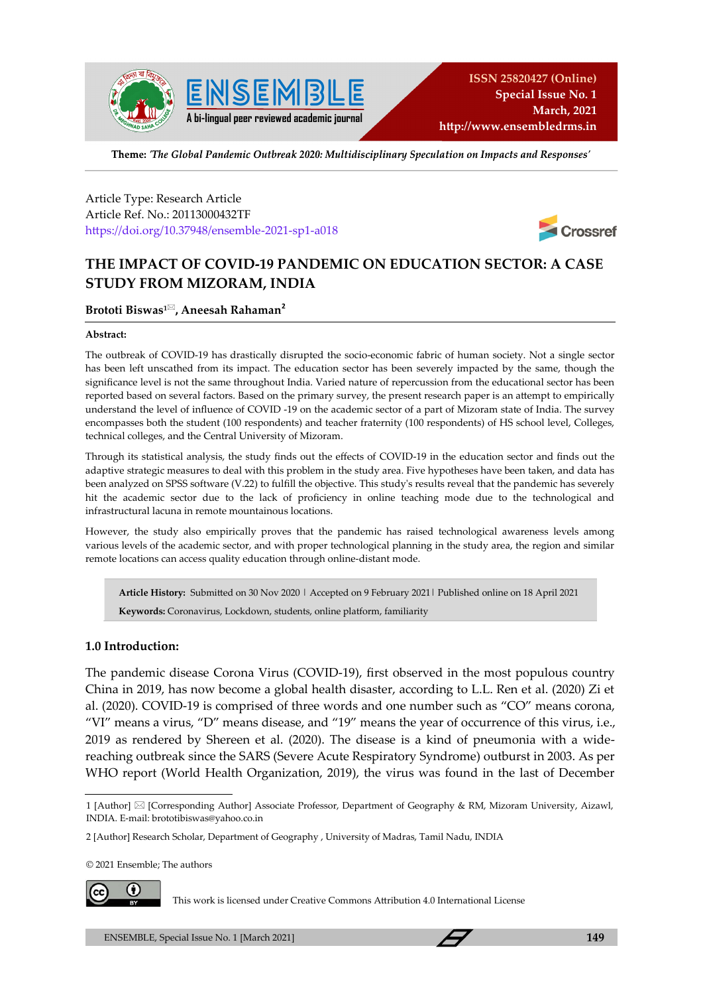

Theme: 'The Global Pandemic Outbreak 2020: Multidisciplinary Speculation on Impacts and Responses'

Article Type: Research Article Article Ref. No.: 20113000432TF https://doi.org/10.37948/ensemble-2021-sp1-a018



# **THE IMPACT OF COVID-19 PANDEMIC ON EDUCATION SECTOR: A CASE STUDY FROM MIZORAM, INDIA**

#### **Brototi Biswas1, Aneesah Rahaman<sup>2</sup>**

#### **Abstract:**

The outbreak of COVID-19 has drastically disrupted the socio-economic fabric of human society. Not a single sector has been left unscathed from its impact. The education sector has been severely impacted by the same, though the significance level is not the same throughout India. Varied nature of repercussion from the educational sector has been reported based on several factors. Based on the primary survey, the present research paper is an attempt to empirically understand the level of influence of COVID -19 on the academic sector of a part of Mizoram state of India. The survey encompasses both the student (100 respondents) and teacher fraternity (100 respondents) of HS school level, Colleges, technical colleges, and the Central University of Mizoram.

Through its statistical analysis, the study finds out the effects of COVID-19 in the education sector and finds out the adaptive strategic measures to deal with this problem in the study area. Five hypotheses have been taken, and data has been analyzed on SPSS software (V.22) to fulfill the objective. This study's results reveal that the pandemic has severely hit the academic sector due to the lack of proficiency in online teaching mode due to the technological and infrastructural lacuna in remote mountainous locations.

However, the study also empirically proves that the pandemic has raised technological awareness levels among various levels of the academic sector, and with proper technological planning in the study area, the region and similar remote locations can access quality education through online-distant mode.

**Article History:** Submitted on 30 Nov 2020 | Accepted on 9 February 2021| Published online on 18 April 2021 **Keywords:** Coronavirus, Lockdown, students, online platform, familiarity

#### **1.0 Introduction:**

The pandemic disease Corona Virus (COVID-19), first observed in the most populous country China in 2019, has now become a global health disaster, according to L.L. Ren et al. (2020) Zi et al. (2020). COVID-19 is comprised of three words and one number such as "CO" means corona, "VI" means a virus, "D" means disease, and "19" means the year of occurrence of this virus, i.e., 2019 as rendered by Shereen et al. (2020). The disease is a kind of pneumonia with a widereaching outbreak since the SARS (Severe Acute Respiratory Syndrome) outburst in 2003. As per WHO report (World Health Organization, 2019), the virus was found in the last of December

© 2021 Ensemble; The authors



This work is licensed under Creative Commons Attribution 4.0 International License

<sup>1 [</sup>Author]  $\boxtimes$  [Corresponding Author] Associate Professor, Department of Geography & RM, Mizoram University, Aizawl, INDIA. E-mail: brototibiswas@yahoo.co.in

<sup>2 [</sup>Author] Research Scholar, Department of Geography , University of Madras, Tamil Nadu, INDIA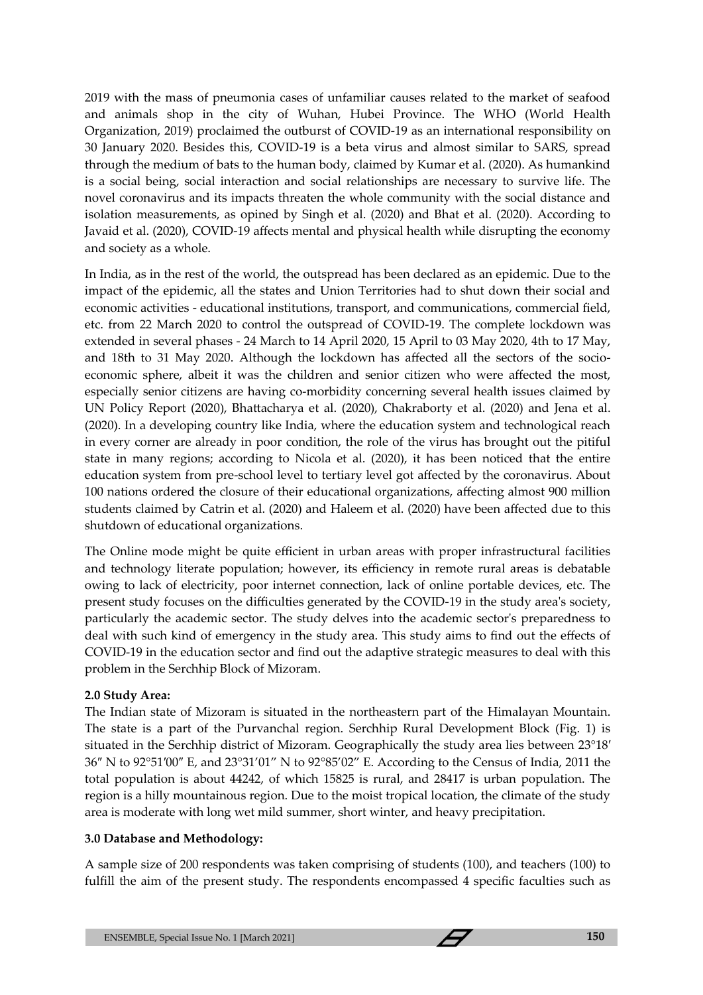2019 with the mass of pneumonia cases of unfamiliar causes related to the market of seafood and animals shop in the city of Wuhan, Hubei Province. The WHO (World Health Organization, 2019) proclaimed the outburst of COVID-19 as an international responsibility on 30 January 2020. Besides this, COVID-19 is a beta virus and almost similar to SARS, spread through the medium of bats to the human body, claimed by Kumar et al. (2020). As humankind is a social being, social interaction and social relationships are necessary to survive life. The novel coronavirus and its impacts threaten the whole community with the social distance and isolation measurements, as opined by Singh et al. (2020) and Bhat et al. (2020). According to Javaid et al. (2020), COVID-19 affects mental and physical health while disrupting the economy and society as a whole.

In India, as in the rest of the world, the outspread has been declared as an epidemic. Due to the impact of the epidemic, all the states and Union Territories had to shut down their social and economic activities - educational institutions, transport, and communications, commercial field, etc. from 22 March 2020 to control the outspread of COVID-19. The complete lockdown was extended in several phases - 24 March to 14 April 2020, 15 April to 03 May 2020, 4th to 17 May, and 18th to 31 May 2020. Although the lockdown has affected all the sectors of the socioeconomic sphere, albeit it was the children and senior citizen who were affected the most, especially senior citizens are having co-morbidity concerning several health issues claimed by UN Policy Report (2020), Bhattacharya et al. (2020), Chakraborty et al. (2020) and Jena et al. (2020). In a developing country like India, where the education system and technological reach in every corner are already in poor condition, the role of the virus has brought out the pitiful state in many regions; according to Nicola et al. (2020), it has been noticed that the entire education system from pre-school level to tertiary level got affected by the coronavirus. About 100 nations ordered the closure of their educational organizations, affecting almost 900 million students claimed by Catrin et al. (2020) and Haleem et al. (2020) have been affected due to this shutdown of educational organizations.

The Online mode might be quite efficient in urban areas with proper infrastructural facilities and technology literate population; however, its efficiency in remote rural areas is debatable owing to lack of electricity, poor internet connection, lack of online portable devices, etc. The present study focuses on the difficulties generated by the COVID-19 in the study area's society, particularly the academic sector. The study delves into the academic sector's preparedness to deal with such kind of emergency in the study area. This study aims to find out the effects of COVID-19 in the education sector and find out the adaptive strategic measures to deal with this problem in the Serchhip Block of Mizoram.

### **2.0 Study Area:**

The Indian state of Mizoram is situated in the northeastern part of the Himalayan Mountain. The state is a part of the Purvanchal region. Serchhip Rural Development Block (Fig. 1) is situated in the Serchhip district of Mizoram. Geographically the study area lies between 23°18′ 36″ N to 92°51′00″ E, and 23°31'01" N to 92°85'02" E. According to the Census of India, 2011 the total population is about 44242, of which 15825 is rural, and 28417 is urban population. The region is a hilly mountainous region. Due to the moist tropical location, the climate of the study area is moderate with long wet mild summer, short winter, and heavy precipitation.

### **3.0 Database and Methodology:**

A sample size of 200 respondents was taken comprising of students (100), and teachers (100) to fulfill the aim of the present study. The respondents encompassed 4 specific faculties such as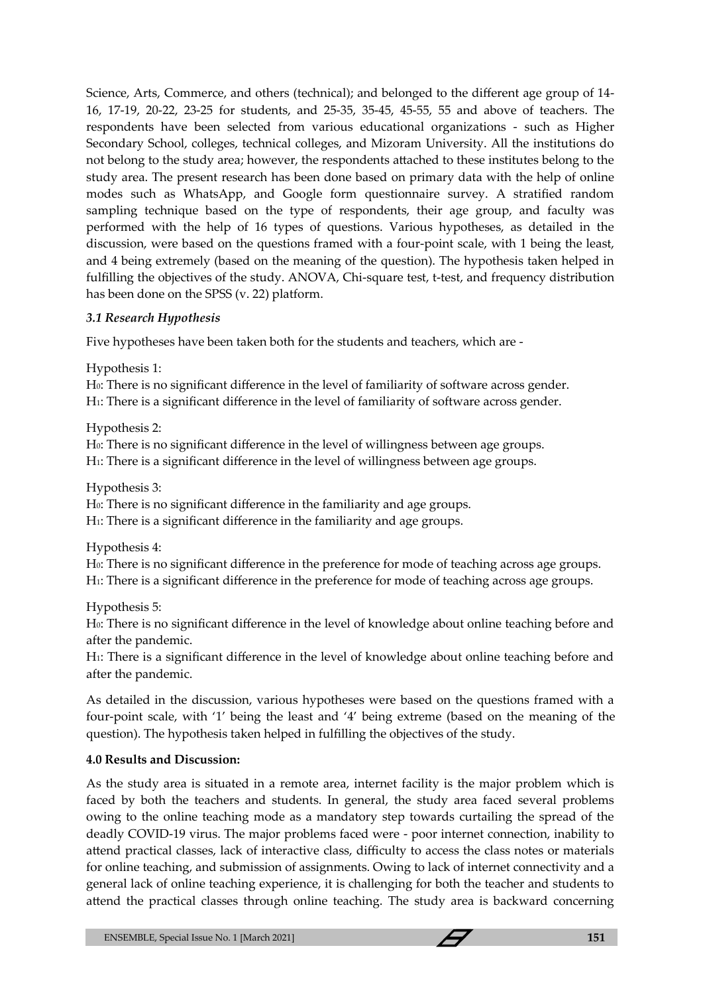Science, Arts, Commerce, and others (technical); and belonged to the different age group of 14- 16, 17-19, 20-22, 23-25 for students, and 25-35, 35-45, 45-55, 55 and above of teachers. The respondents have been selected from various educational organizations - such as Higher Secondary School, colleges, technical colleges, and Mizoram University. All the institutions do not belong to the study area; however, the respondents attached to these institutes belong to the study area. The present research has been done based on primary data with the help of online modes such as WhatsApp, and Google form questionnaire survey. A stratified random sampling technique based on the type of respondents, their age group, and faculty was performed with the help of 16 types of questions. Various hypotheses, as detailed in the discussion, were based on the questions framed with a four-point scale, with 1 being the least, and 4 being extremely (based on the meaning of the question). The hypothesis taken helped in fulfilling the objectives of the study. ANOVA, Chi-square test, t-test, and frequency distribution has been done on the SPSS (v. 22) platform.

## *3.1 Research Hypothesis*

Five hypotheses have been taken both for the students and teachers, which are -

Hypothesis 1:

H0: There is no significant difference in the level of familiarity of software across gender. H1: There is a significant difference in the level of familiarity of software across gender.

Hypothesis 2:

H0: There is no significant difference in the level of willingness between age groups.

H1: There is a significant difference in the level of willingness between age groups.

Hypothesis 3:

H0: There is no significant difference in the familiarity and age groups.

H1: There is a significant difference in the familiarity and age groups.

Hypothesis 4:

H0: There is no significant difference in the preference for mode of teaching across age groups. H1: There is a significant difference in the preference for mode of teaching across age groups.

Hypothesis 5:

H0: There is no significant difference in the level of knowledge about online teaching before and after the pandemic.

H1: There is a significant difference in the level of knowledge about online teaching before and after the pandemic.

As detailed in the discussion, various hypotheses were based on the questions framed with a four-point scale, with '1' being the least and '4' being extreme (based on the meaning of the question). The hypothesis taken helped in fulfilling the objectives of the study.

## **4.0 Results and Discussion:**

As the study area is situated in a remote area, internet facility is the major problem which is faced by both the teachers and students. In general, the study area faced several problems owing to the online teaching mode as a mandatory step towards curtailing the spread of the deadly COVID-19 virus. The major problems faced were - poor internet connection, inability to attend practical classes, lack of interactive class, difficulty to access the class notes or materials for online teaching, and submission of assignments. Owing to lack of internet connectivity and a general lack of online teaching experience, it is challenging for both the teacher and students to attend the practical classes through online teaching. The study area is backward concerning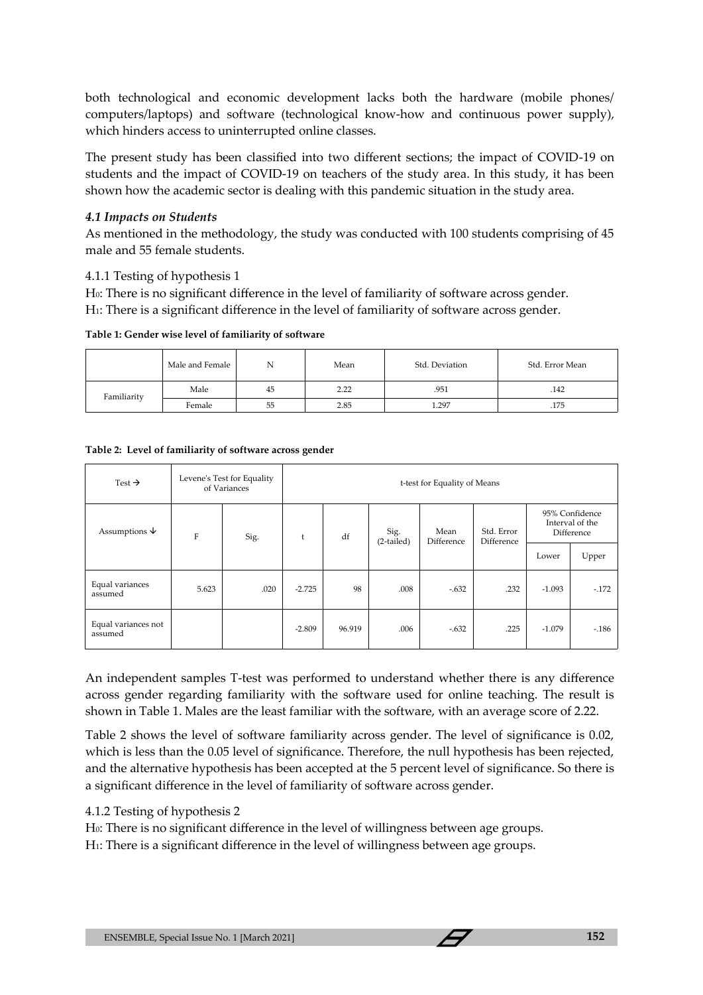both technological and economic development lacks both the hardware (mobile phones/ computers/laptops) and software (technological know-how and continuous power supply), which hinders access to uninterrupted online classes.

The present study has been classified into two different sections; the impact of COVID-19 on students and the impact of COVID-19 on teachers of the study area. In this study, it has been shown how the academic sector is dealing with this pandemic situation in the study area.

### *4.1 Impacts on Students*

As mentioned in the methodology, the study was conducted with 100 students comprising of 45 male and 55 female students.

### 4.1.1 Testing of hypothesis 1

H0: There is no significant difference in the level of familiarity of software across gender.

H1: There is a significant difference in the level of familiarity of software across gender.

**Table 1: Gender wise level of familiarity of software** 

|             | Male and Female | N  | Mean | Std. Deviation | Std. Error Mean |
|-------------|-----------------|----|------|----------------|-----------------|
| Familiarity | Male            | 45 | 2.22 | .951           | .142            |
|             | Female          | 55 | 2.85 | 1.297          | .175            |

| Test $\rightarrow$             |             | Levene's Test for Equality<br>of Variances |          | t-test for Equality of Means |                      |                    |                          |          |                                                 |
|--------------------------------|-------------|--------------------------------------------|----------|------------------------------|----------------------|--------------------|--------------------------|----------|-------------------------------------------------|
| Assumptions $\psi$             | $\mathbf F$ | Sig.                                       | t        | df                           | Sig.<br>$(2-tailed)$ | Mean<br>Difference | Std. Error<br>Difference |          | 95% Confidence<br>Interval of the<br>Difference |
|                                |             |                                            |          |                              |                      |                    |                          | Lower    | Upper                                           |
| Equal variances<br>assumed     | 5.623       | .020                                       | $-2.725$ | 98                           | .008                 | $-.632$            | .232                     | $-1.093$ | $-.172$                                         |
| Equal variances not<br>assumed |             |                                            | $-2.809$ | 96.919                       | .006                 | $-.632$            | .225                     | $-1.079$ | $-186$                                          |

#### **Table 2: Level of familiarity of software across gender**

An independent samples T-test was performed to understand whether there is any difference across gender regarding familiarity with the software used for online teaching. The result is shown in Table 1. Males are the least familiar with the software, with an average score of 2.22.

Table 2 shows the level of software familiarity across gender. The level of significance is 0.02, which is less than the 0.05 level of significance. Therefore, the null hypothesis has been rejected, and the alternative hypothesis has been accepted at the 5 percent level of significance. So there is a significant difference in the level of familiarity of software across gender.

### 4.1.2 Testing of hypothesis 2

H0: There is no significant difference in the level of willingness between age groups.

H1: There is a significant difference in the level of willingness between age groups.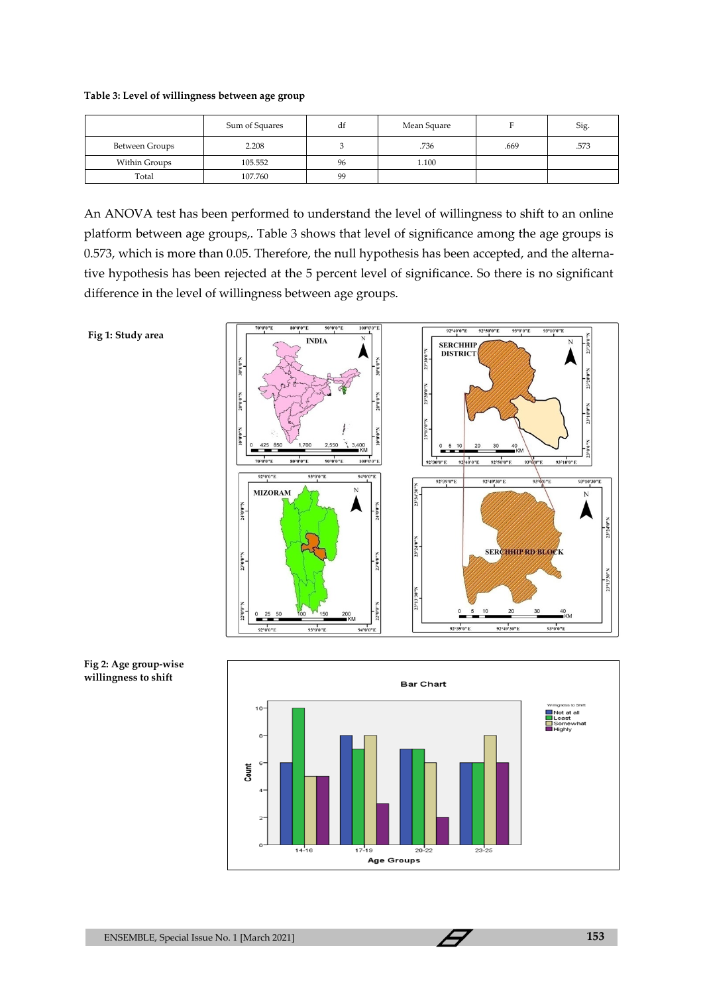#### **Table 3: Level of willingness between age group**

|                | Sum of Squares | df | Mean Square |      | Sig. |
|----------------|----------------|----|-------------|------|------|
| Between Groups | 2.208          |    | .736        | .669 | .573 |
| Within Groups  | 105.552        | 96 | 1.100       |      |      |
| Total          | 107.760        | 99 |             |      |      |

An ANOVA test has been performed to understand the level of willingness to shift to an online platform between age groups,. Table 3 shows that level of significance among the age groups is 0.573, which is more than 0.05. Therefore, the null hypothesis has been accepted, and the alternative hypothesis has been rejected at the 5 percent level of significance. So there is no significant difference in the level of willingness between age groups.

**Fig 1: Study area**





**Fig 2: Age group-wise willingness to shift**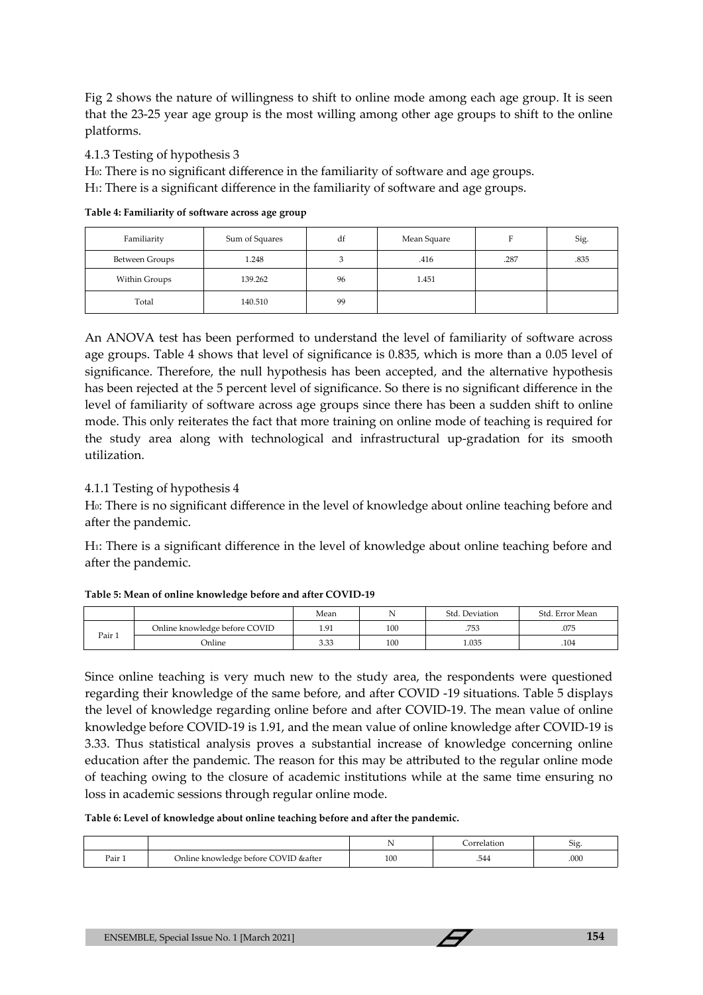Fig 2 shows the nature of willingness to shift to online mode among each age group. It is seen that the 23-25 year age group is the most willing among other age groups to shift to the online platforms.

4.1.3 Testing of hypothesis 3

H0: There is no significant difference in the familiarity of software and age groups.

H1: There is a significant difference in the familiarity of software and age groups.

| Familiarity    | Sum of Squares | df | Mean Square |      | Sig. |
|----------------|----------------|----|-------------|------|------|
| Between Groups | 1.248          |    | .416        | .287 | .835 |
| Within Groups  | 139.262        | 96 | 1.451       |      |      |
| Total          | 140.510        | 99 |             |      |      |

**Table 4: Familiarity of software across age group**

An ANOVA test has been performed to understand the level of familiarity of software across age groups. Table 4 shows that level of significance is 0.835, which is more than a 0.05 level of significance. Therefore, the null hypothesis has been accepted, and the alternative hypothesis has been rejected at the 5 percent level of significance. So there is no significant difference in the level of familiarity of software across age groups since there has been a sudden shift to online mode. This only reiterates the fact that more training on online mode of teaching is required for the study area along with technological and infrastructural up-gradation for its smooth utilization.

## 4.1.1 Testing of hypothesis 4

H0: There is no significant difference in the level of knowledge about online teaching before and after the pandemic.

H1: There is a significant difference in the level of knowledge about online teaching before and after the pandemic.

#### **Table 5: Mean of online knowledge before and after COVID-19**

|        |                               | Mean |     | Std. Deviation | Std. Error Mean |
|--------|-------------------------------|------|-----|----------------|-----------------|
|        | Online knowledge before COVID | 1.91 | 100 | .753           | .075            |
| Pair 1 | Online                        | 3.33 | 100 | 1.035          | .104            |

Since online teaching is very much new to the study area, the respondents were questioned regarding their knowledge of the same before, and after COVID -19 situations. Table 5 displays the level of knowledge regarding online before and after COVID-19. The mean value of online knowledge before COVID-19 is 1.91, and the mean value of online knowledge after COVID-19 is 3.33. Thus statistical analysis proves a substantial increase of knowledge concerning online education after the pandemic. The reason for this may be attributed to the regular online mode of teaching owing to the closure of academic institutions while at the same time ensuring no loss in academic sessions through regular online mode.

**Table 6: Level of knowledge about online teaching before and after the pandemic.**

|        |                                       |     | `orrelation | $\sim$<br>519 |
|--------|---------------------------------------|-----|-------------|---------------|
| Pair 1 | Online knowledge before COVID & after | 100 | .544        | .000          |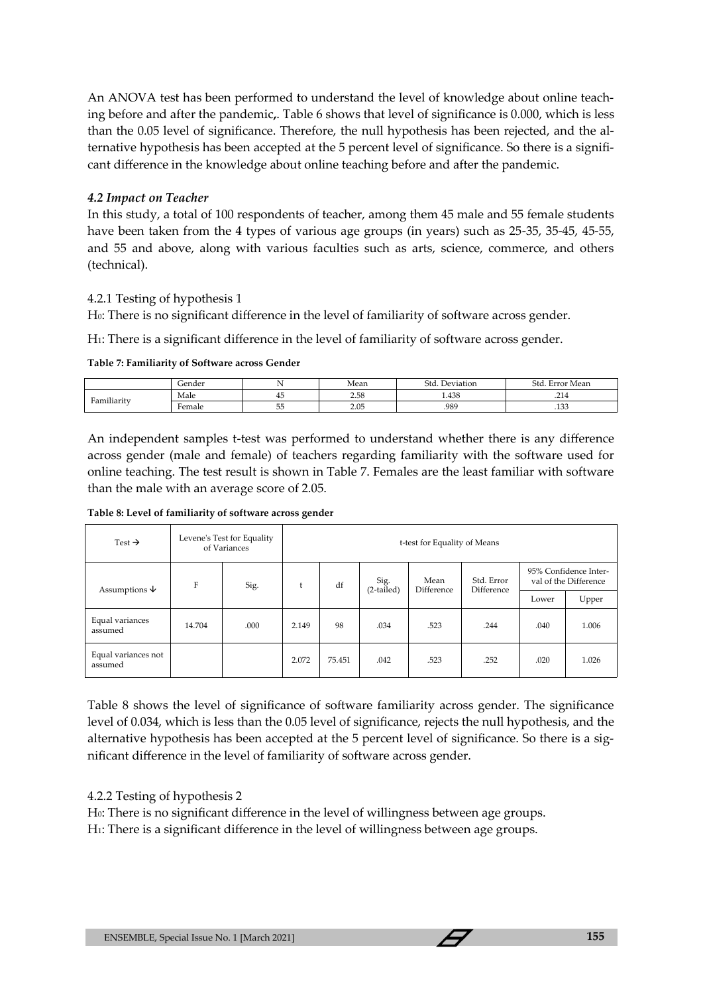An ANOVA test has been performed to understand the level of knowledge about online teaching before and after the pandemic**,**. Table 6 shows that level of significance is 0.000, which is less than the 0.05 level of significance. Therefore, the null hypothesis has been rejected, and the alternative hypothesis has been accepted at the 5 percent level of significance. So there is a significant difference in the knowledge about online teaching before and after the pandemic.

### *4.2 Impact on Teacher*

In this study, a total of 100 respondents of teacher, among them 45 male and 55 female students have been taken from the 4 types of various age groups (in years) such as 25-35, 35-45, 45-55, and 55 and above, along with various faculties such as arts, science, commerce, and others (technical).

## 4.2.1 Testing of hypothesis 1

H0: There is no significant difference in the level of familiarity of software across gender.

H1: There is a significant difference in the level of familiarity of software across gender.

#### **Table 7: Familiarity of Software across Gender**

|                                      | Gender |                | Mean | Std<br>Deviation | $\sim$ 1<br>Error Mean |
|--------------------------------------|--------|----------------|------|------------------|------------------------|
| $\cdots$<br>$\overline{\phantom{a}}$ | Male   | ≖              | 2.58 | 1.438            | .                      |
| Familiarity                          | Female | --<br>ь.<br>ںں | 2.05 | .989             | 123<br>.100            |

An independent samples t-test was performed to understand whether there is any difference across gender (male and female) of teachers regarding familiarity with the software used for online teaching. The test result is shown in Table 7. Females are the least familiar with software than the male with an average score of 2.05.

**Table 8: Level of familiarity of software across gender**

| Test $\rightarrow$             |        | Levene's Test for Equality<br>of Variances | t-test for Equality of Means |        |                      |                    |                                 |       |                                                |
|--------------------------------|--------|--------------------------------------------|------------------------------|--------|----------------------|--------------------|---------------------------------|-------|------------------------------------------------|
| Assumptions $\downarrow$       | F      | Sig.                                       | t                            | df     | Sig.<br>$(2-tailed)$ | Mean<br>Difference | Std. Error<br><b>Difference</b> |       | 95% Confidence Inter-<br>val of the Difference |
|                                |        |                                            |                              |        |                      |                    |                                 | Lower | Upper                                          |
| Equal variances<br>assumed     | 14.704 | .000                                       | 2.149                        | 98     | .034                 | .523               | .244                            | .040  | 1.006                                          |
| Equal variances not<br>assumed |        |                                            | 2.072                        | 75.451 | .042                 | .523               | .252                            | .020  | 1.026                                          |

Table 8 shows the level of significance of software familiarity across gender. The significance level of 0.034, which is less than the 0.05 level of significance, rejects the null hypothesis, and the alternative hypothesis has been accepted at the 5 percent level of significance. So there is a significant difference in the level of familiarity of software across gender.

## 4.2.2 Testing of hypothesis 2

H0: There is no significant difference in the level of willingness between age groups.

H1: There is a significant difference in the level of willingness between age groups.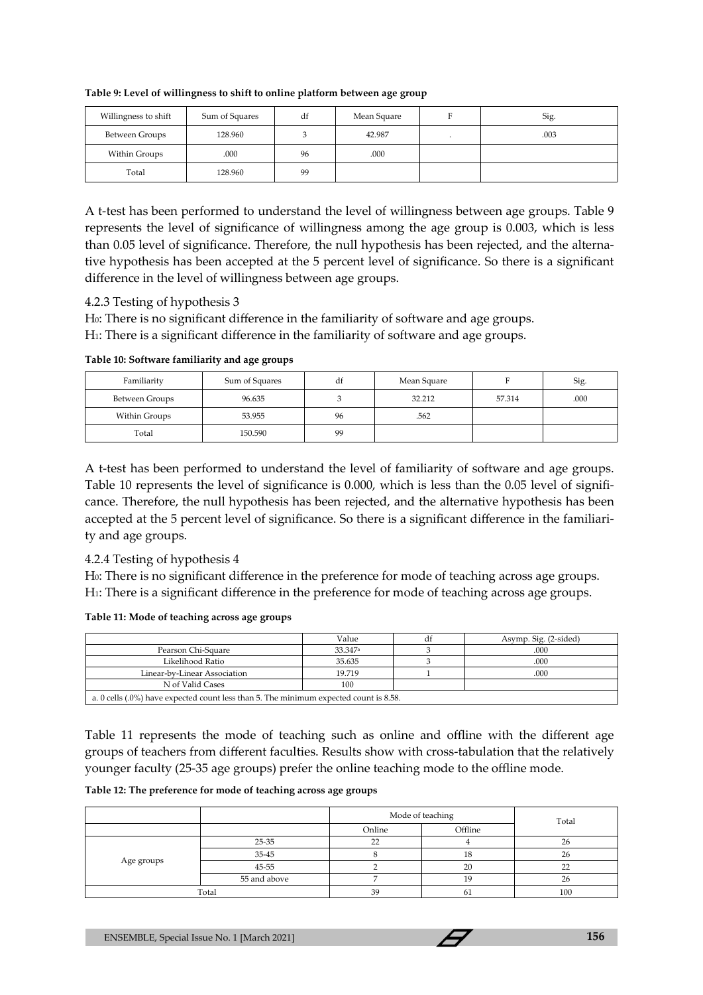| Willingness to shift | Sum of Squares | df | Mean Square | Sig. |
|----------------------|----------------|----|-------------|------|
| Between Groups       | 128.960        |    | 42.987      | .003 |
| Within Groups        | .000           | 96 | .000        |      |
| Total                | 128.960        | 99 |             |      |

**Table 9: Level of willingness to shift to online platform between age group**

A t-test has been performed to understand the level of willingness between age groups. Table 9 represents the level of significance of willingness among the age group is 0.003, which is less than 0.05 level of significance. Therefore, the null hypothesis has been rejected, and the alternative hypothesis has been accepted at the 5 percent level of significance. So there is a significant difference in the level of willingness between age groups.

4.2.3 Testing of hypothesis 3

H<sub>0</sub>: There is no significant difference in the familiarity of software and age groups.

H1: There is a significant difference in the familiarity of software and age groups.

**Table 10: Software familiarity and age groups**

| Familiarity    | Sum of Squares | df | Mean Square |        | Sig. |
|----------------|----------------|----|-------------|--------|------|
| Between Groups | 96.635         |    | 32.212      | 57.314 | .000 |
| Within Groups  | 53.955         | 96 | .562        |        |      |
| Total          | 150.590        | 99 |             |        |      |

A t-test has been performed to understand the level of familiarity of software and age groups. Table 10 represents the level of significance is 0.000, which is less than the 0.05 level of significance. Therefore, the null hypothesis has been rejected, and the alternative hypothesis has been accepted at the 5 percent level of significance. So there is a significant difference in the familiarity and age groups.

### 4.2.4 Testing of hypothesis 4

H0: There is no significant difference in the preference for mode of teaching across age groups. H1: There is a significant difference in the preference for mode of teaching across age groups.

**Table 11: Mode of teaching across age groups**

|                              | Value                                                                                 | df | Asymp. Sig. (2-sided) |  |  |  |
|------------------------------|---------------------------------------------------------------------------------------|----|-----------------------|--|--|--|
| Pearson Chi-Square           | 33.347 <sup>a</sup>                                                                   |    | .000                  |  |  |  |
| Likelihood Ratio             | 35.635                                                                                |    | .000                  |  |  |  |
| Linear-by-Linear Association | 19.719                                                                                |    | .000                  |  |  |  |
| N of Valid Cases             | 100                                                                                   |    |                       |  |  |  |
|                              | a. 0 cells (.0%) have expected count less than 5. The minimum expected count is 8.58. |    |                       |  |  |  |

Table 11 represents the mode of teaching such as online and offline with the different age groups of teachers from different faculties. Results show with cross-tabulation that the relatively younger faculty (25-35 age groups) prefer the online teaching mode to the offline mode.

**Table 12: The preference for mode of teaching across age groups**

|            |              |        | Mode of teaching |     |  |  |
|------------|--------------|--------|------------------|-----|--|--|
|            |              | Online | Offline          |     |  |  |
|            | 25-35        | $\sim$ |                  | 26  |  |  |
|            | 35-45        |        | 18               | 26  |  |  |
| Age groups | 45-55        |        | 20               | n-  |  |  |
|            | 55 and above |        | 19               | 26  |  |  |
| Total      |              | 39     | 61               | 100 |  |  |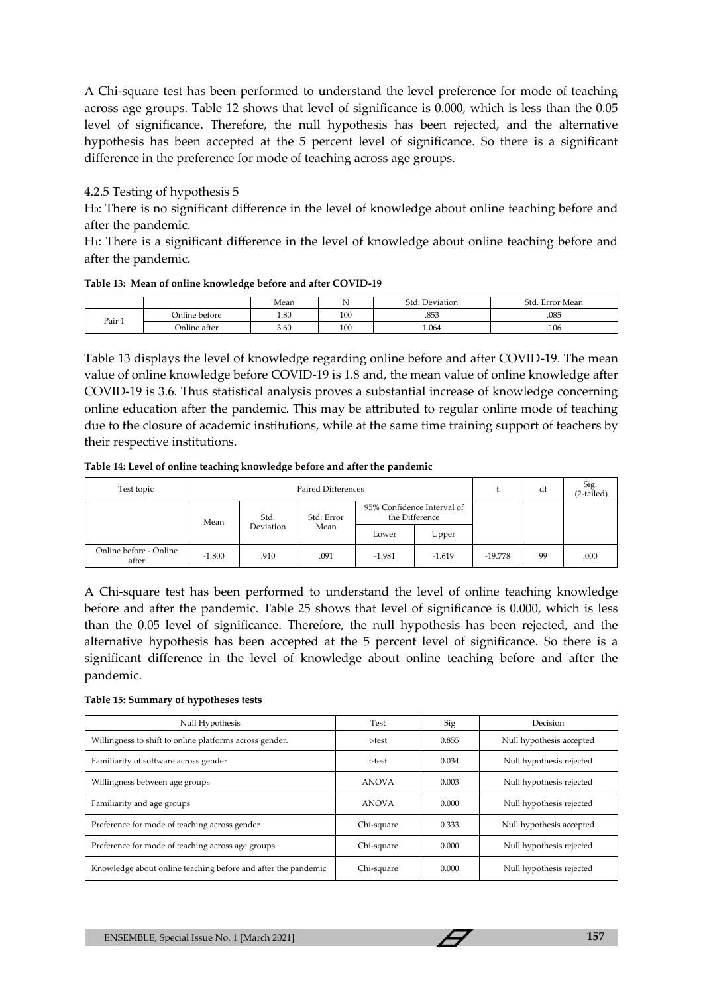A Chi-square test has been performed to understand the level preference for mode of teaching across age groups. Table 12 shows that level of significance is 0.000, which is less than the 0.05 level of significance. Therefore, the null hypothesis has been rejected, and the alternative hypothesis has been accepted at the 5 percent level of significance. So there is a significant difference in the preference for mode of teaching across age groups.

### 4.2.5 Testing of hypothesis 5

H0: There is no significant difference in the level of knowledge about online teaching before and after the pandemic.

H1: There is a significant difference in the level of knowledge about online teaching before and after the pandemic.

|  |  |  | Table 13: Mean of online knowledge before and after COVID-19 |
|--|--|--|--------------------------------------------------------------|
|--|--|--|--------------------------------------------------------------|

|        |               | Mean | $\cdot$ | Std. Deviation | Std. Error Mean |
|--------|---------------|------|---------|----------------|-----------------|
| Pair 1 | Online before | 1.80 | 100     | .853           | .085            |
|        | Online after  | 3.60 | 100     | 1.064          | .106            |

Table 13 displays the level of knowledge regarding online before and after COVID-19. The mean value of online knowledge before COVID-19 is 1.8 and, the mean value of online knowledge after COVID-19 is 3.6. Thus statistical analysis proves a substantial increase of knowledge concerning online education after the pandemic. This may be attributed to regular online mode of teaching due to the closure of academic institutions, while at the same time training support of teachers by their respective institutions.

**Table 14: Level of online teaching knowledge before and after the pandemic**

| Test topic                      | <b>Paired Differences</b> |                   |                    |                                              | $\ddot{\phantom{1}}$ | df        | Sig.<br>$(2-tailed)$ |      |
|---------------------------------|---------------------------|-------------------|--------------------|----------------------------------------------|----------------------|-----------|----------------------|------|
|                                 | Mean                      | Std.<br>Deviation | Std. Error<br>Mean | 95% Confidence Interval of<br>the Difference |                      |           |                      |      |
|                                 |                           |                   |                    | Lower                                        | Upper                |           |                      |      |
| Online before - Online<br>after | $-1.800$                  | .910              | .091               | $-1.981$                                     | $-1.619$             | $-19.778$ | 99                   | .000 |

A Chi-square test has been performed to understand the level of online teaching knowledge before and after the pandemic. Table 25 shows that level of significance is 0.000, which is less than the 0.05 level of significance. Therefore, the null hypothesis has been rejected, and the alternative hypothesis has been accepted at the 5 percent level of significance. So there is a significant difference in the level of knowledge about online teaching before and after the pandemic.

#### **Table 15: Summary of hypotheses tests**

| Null Hypothesis                                               | Test         | Sig   | Decision                 |  |
|---------------------------------------------------------------|--------------|-------|--------------------------|--|
| Willingness to shift to online platforms across gender.       | t-test       | 0.855 | Null hypothesis accepted |  |
| Familiarity of software across gender                         | t-test       | 0.034 | Null hypothesis rejected |  |
| Willingness between age groups                                | <b>ANOVA</b> | 0.003 | Null hypothesis rejected |  |
| Familiarity and age groups                                    | <b>ANOVA</b> | 0.000 | Null hypothesis rejected |  |
| Preference for mode of teaching across gender                 | Chi-square   | 0.333 | Null hypothesis accepted |  |
| Preference for mode of teaching across age groups             | Chi-square   | 0.000 | Null hypothesis rejected |  |
| Knowledge about online teaching before and after the pandemic | Chi-square   | 0.000 | Null hypothesis rejected |  |